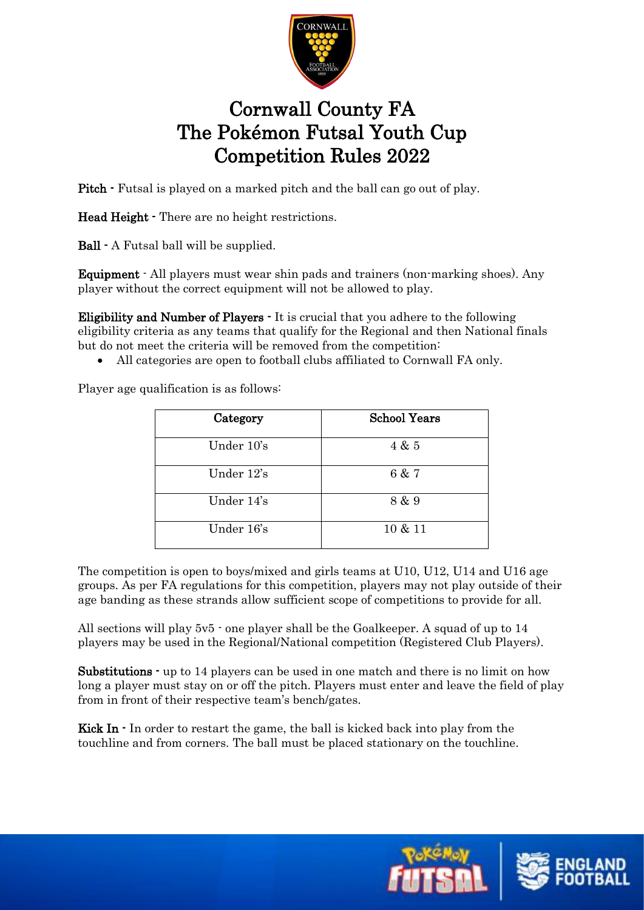

## Cornwall County FA The Pokémon Futsal Youth Cup Competition Rules 2022

Pitch  $\cdot$  Futsal is played on a marked pitch and the ball can go out of play.

Head Height - There are no height restrictions.

Ball - A Futsal ball will be supplied.

Equipment - All players must wear shin pads and trainers (non-marking shoes). Any player without the correct equipment will not be allowed to play.

Eligibility and Number of Players - It is crucial that you adhere to the following eligibility criteria as any teams that qualify for the Regional and then National finals but do not meet the criteria will be removed from the competition:

• All categories are open to football clubs affiliated to Cornwall FA only.

Player age qualification is as follows:

| Category   | <b>School Years</b> |
|------------|---------------------|
| Under 10's | 4 & 5               |
| Under 12's | 6 & 7               |
| Under 14's | 8 & 9               |
| Under 16's | 10 & 11             |

The competition is open to boys/mixed and girls teams at U10, U12, U14 and U16 age groups. As per FA regulations for this competition, players may not play outside of their age banding as these strands allow sufficient scope of competitions to provide for all.

All sections will play 5v5 - one player shall be the Goalkeeper. A squad of up to 14 players may be used in the Regional/National competition (Registered Club Players).

Substitutions - up to 14 players can be used in one match and there is no limit on how long a player must stay on or off the pitch. Players must enter and leave the field of play from in front of their respective team's bench/gates.

Kick In  $\cdot$  In order to restart the game, the ball is kicked back into play from the touchline and from corners. The ball must be placed stationary on the touchline.